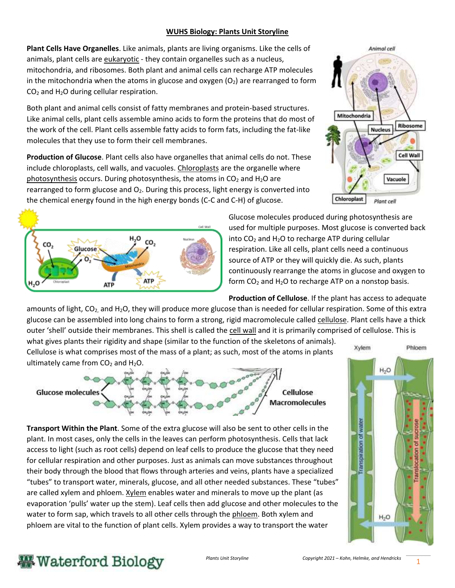## **WUHS Biology: Plants Unit Storyline**

**Plant Cells Have Organelles**. Like animals, plants are living organisms. Like the cells of animals, plant cells are eukaryotic - they contain organelles such as a nucleus, mitochondria, and ribosomes. Both plant and animal cells can recharge ATP molecules in the mitochondria when the atoms in glucose and oxygen  $(O_2)$  are rearranged to form  $CO<sub>2</sub>$  and H<sub>2</sub>O during cellular respiration.

Both plant and animal cells consist of fatty membranes and protein-based structures. Like animal cells, plant cells assemble amino acids to form the proteins that do most of the work of the cell. Plant cells assemble fatty acids to form fats, including the fat-like molecules that they use to form their cell membranes.

**Production of Glucose**. Plant cells also have organelles that animal cells do not. These include chloroplasts, cell walls, and vacuoles. Chloroplasts are the organelle where photosynthesis occurs. During photosynthesis, the atoms in  $CO<sub>2</sub>$  and H<sub>2</sub>O are rearranged to form glucose and  $O<sub>2</sub>$ . During this process, light energy is converted into the chemical energy found in the high energy bonds (C-C and C-H) of glucose.





Glucose molecules produced during photosynthesis are used for multiple purposes. Most glucose is converted back into  $CO<sub>2</sub>$  and H<sub>2</sub>O to recharge ATP during cellular respiration. Like all cells, plant cells need a continuous source of ATP or they will quickly die. As such, plants continuously rearrange the atoms in glucose and oxygen to form  $CO<sub>2</sub>$  and H<sub>2</sub>O to recharge ATP on a nonstop basis.

**Production of Cellulose**. If the plant has access to adequate amounts of light,  $CO_2$  and H<sub>2</sub>O, they will produce more glucose than is needed for cellular respiration. Some of this extra glucose can be assembled into long chains to form a strong, rigid macromolecule called cellulose. Plant cells have a thick outer 'shell' outside their membranes. This shell is called the cell wall and it is primarily comprised of cellulose. This is

what gives plants their rigidity and shape (similar to the function of the skeletons of animals). Cellulose is what comprises most of the mass of a plant; as such, most of the atoms in plants ultimately came from  $CO<sub>2</sub>$  and  $H<sub>2</sub>O$ .



**Transport Within the Plant**. Some of the extra glucose will also be sent to other cells in the plant. In most cases, only the cells in the leaves can perform photosynthesis. Cells that lack access to light (such as root cells) depend on leaf cells to produce the glucose that they need for cellular respiration and other purposes. Just as animals can move substances throughout their body through the blood that flows through arteries and veins, plants have a specialized "tubes" to transport water, minerals, glucose, and all other needed substances. These "tubes" are called xylem and phloem. Xylem enables water and minerals to move up the plant (as evaporation 'pulls' water up the stem). Leaf cells then add glucose and other molecules to the water to form sap, which travels to all other cells through the phloem. Both xylem and phloem are vital to the function of plant cells. Xylem provides a way to transport the water



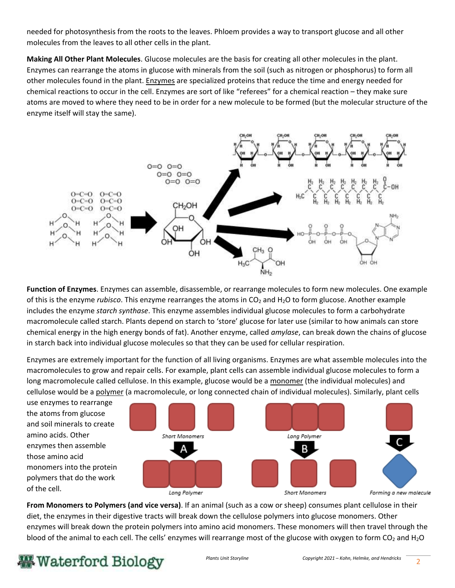needed for photosynthesis from the roots to the leaves. Phloem provides a way to transport glucose and all other molecules from the leaves to all other cells in the plant.

**Making All Other Plant Molecules**. Glucose molecules are the basis for creating all other molecules in the plant. Enzymes can rearrange the atoms in glucose with minerals from the soil (such as nitrogen or phosphorus) to form all other molecules found in the plant. Enzymes are specialized proteins that reduce the time and energy needed for chemical reactions to occur in the cell. Enzymes are sort of like "referees" for a chemical reaction – they make sure atoms are moved to where they need to be in order for a new molecule to be formed (but the molecular structure of the enzyme itself will stay the same).



**Function of Enzymes**. Enzymes can assemble, disassemble, or rearrange molecules to form new molecules. One example of this is the enzyme *rubisco*. This enzyme rearranges the atoms in CO<sub>2</sub> and H<sub>2</sub>O to form glucose. Another example includes the enzyme *starch synthase*. This enzyme assembles individual glucose molecules to form a carbohydrate macromolecule called starch. Plants depend on starch to 'store' glucose for later use (similar to how animals can store chemical energy in the high energy bonds of fat). Another enzyme, called *amylase*, can break down the chains of glucose in starch back into individual glucose molecules so that they can be used for cellular respiration.

Enzymes are extremely important for the function of all living organisms. Enzymes are what assemble molecules into the macromolecules to grow and repair cells. For example, plant cells can assemble individual glucose molecules to form a long macromolecule called cellulose. In this example, glucose would be a monomer (the individual molecules) and cellulose would be a polymer (a macromolecule, or long connected chain of individual molecules). Similarly, plant cells



**From Monomers to Polymers (and vice versa)**. If an animal (such as a cow or sheep) consumes plant cellulose in their diet, the enzymes in their digestive tracts will break down the cellulose polymers into glucose monomers. Other enzymes will break down the protein polymers into amino acid monomers. These monomers will then travel through the blood of the animal to each cell. The cells' enzymes will rearrange most of the glucose with oxygen to form  $CO<sub>2</sub>$  and  $H<sub>2</sub>O$ 

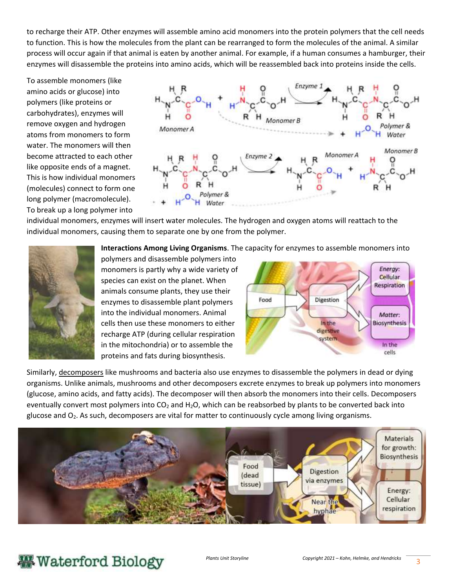to recharge their ATP. Other enzymes will assemble amino acid monomers into the protein polymers that the cell needs to function. This is how the molecules from the plant can be rearranged to form the molecules of the animal. A similar process will occur again if that animal is eaten by another animal. For example, if a human consumes a hamburger, their enzymes will disassemble the proteins into amino acids, which will be reassembled back into proteins inside the cells.

To assemble monomers (like amino acids or glucose) into polymers (like proteins or carbohydrates), enzymes will remove oxygen and hydrogen atoms from monomers to form water. The monomers will then become attracted to each other like opposite ends of a magnet. This is how individual monomers (molecules) connect to form one long polymer (macromolecule). To break up a long polymer into



individual monomers, enzymes will insert water molecules. The hydrogen and oxygen atoms will reattach to the individual monomers, causing them to separate one by one from the polymer.



**Interactions Among Living Organisms**. The capacity for enzymes to assemble monomers into

polymers and disassemble polymers into monomers is partly why a wide variety of species can exist on the planet. When animals consume plants, they use their enzymes to disassemble plant polymers into the individual monomers. Animal cells then use these monomers to either recharge ATP (during cellular respiration in the mitochondria) or to assemble the proteins and fats during biosynthesis.



Similarly, decomposers like mushrooms and bacteria also use enzymes to disassemble the polymers in dead or dying organisms. Unlike animals, mushrooms and other decomposers excrete enzymes to break up polymers into monomers (glucose, amino acids, and fatty acids). The decomposer will then absorb the monomers into their cells. Decomposers eventually convert most polymers into  $CO<sub>2</sub>$  and H<sub>2</sub>O, which can be reabsorbed by plants to be converted back into glucose and O2. As such, decomposers are vital for matter to continuously cycle among living organisms.



## **- Waterford Biology**